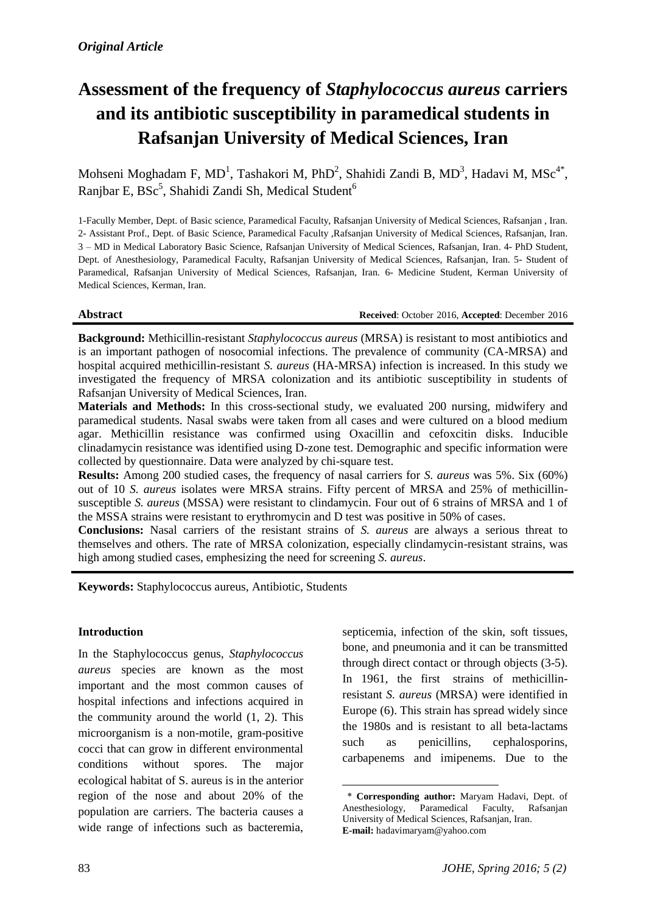# **Assessment of the frequency of** *Staphylococcus aureus* **carriers and its antibiotic susceptibility in paramedical students in Rafsanjan University of Medical Sciences, Iran**

Mohseni Moghadam F, MD<sup>1</sup>, Tashakori M, PhD<sup>2</sup>, Shahidi Zandi B, MD<sup>3</sup>, Hadavi M, MSc<sup>4\*</sup>, Ranjbar E, BSc<sup>5</sup>, Shahidi Zandi Sh, Medical Student<sup>6</sup>

1-Facully Member, Dept. of Basic science, Paramedical Faculty, Rafsanjan University of Medical Sciences, Rafsanjan , Iran. 2- Assistant Prof., Dept. of Basic Science, Paramedical Faculty ,Rafsanjan University of Medical Sciences, Rafsanjan, Iran. 3 – MD in Medical Laboratory Basic Science, Rafsanjan University of Medical Sciences, Rafsanjan, Iran. 4- PhD Student, Dept. of Anesthesiology, Paramedical Faculty, Rafsanjan University of Medical Sciences, Rafsanjan, Iran. 5- Student of Paramedical, Rafsanjan University of Medical Sciences, Rafsanjan, Iran. 6- Medicine Student, Kerman University of Medical Sciences, Kerman, Iran.

**Abstract Received**: October 2016, **Accepted**: December 2016

**Background:** Methicillin-resistant *Staphylococcus aureus* (MRSA) is resistant to most antibiotics and is an important pathogen of nosocomial infections. The prevalence of community (CA-MRSA) and hospital acquired methicillin-resistant *S. aureus* (HA-MRSA) infection is increased. In this study we investigated the frequency of MRSA colonization and its antibiotic susceptibility in students of Rafsanjan University of Medical Sciences, Iran.

**Materials and Methods:** In this cross-sectional study, we evaluated 200 nursing, midwifery and paramedical students. Nasal swabs were taken from all cases and were cultured on a blood medium agar. Methicillin resistance was confirmed using Oxacillin and cefoxcitin disks. Inducible clinadamycin resistance was identified using D-zone test. Demographic and specific information were collected by questionnaire. Data were analyzed by chi-square test.

**Results:** Among 200 studied cases, the frequency of nasal carriers for *S. aureus* was 5%. Six (60%) out of 10 *S. aureus* isolates were MRSA strains. Fifty percent of MRSA and 25% of methicillinsusceptible *S. aureus* (MSSA) were resistant to clindamycin. Four out of 6 strains of MRSA and 1 of the MSSA strains were resistant to erythromycin and D test was positive in 50% of cases.

**Conclusions:** Nasal carriers of the resistant strains of *S. aureus* are always a serious threat to themselves and others. The rate of MRSA colonization, especially clindamycin-resistant strains, was high among studied cases, emphesizing the need for screening *S. aureus*.

1

**Keywords:** Staphylococcus aureus, Antibiotic, Students

#### **Introduction**

In the Staphylococcus genus, *Staphylococcus aureus* species are known as the most important and the most common causes of hospital infections and infections acquired in the community around the world (1, 2). This microorganism is a non-motile, gram-positive cocci that can grow in different environmental conditions without spores. The major ecological habitat of S. aureus is in the anterior region of the nose and about 20% of the population are carriers. The bacteria causes a wide range of infections such as bacteremia,

septicemia, infection of the skin, soft tissues, bone, and pneumonia and it can be transmitted through direct contact or through objects (3-5). In 1961, the first strains of methicillinresistant *S. aureus* (MRSA) were identified in Europe (6). This strain has spread widely since the 1980s and is resistant to all beta-lactams such as penicillins, cephalosporins, carbapenems and imipenems. Due to the

<sup>\*</sup> **Corresponding author:** Maryam Hadavi, Dept. of Anesthesiology, Paramedical Faculty, Rafsanjan University of Medical Sciences, Rafsanjan, Iran. **E-mail:** hadavimaryam@yahoo.com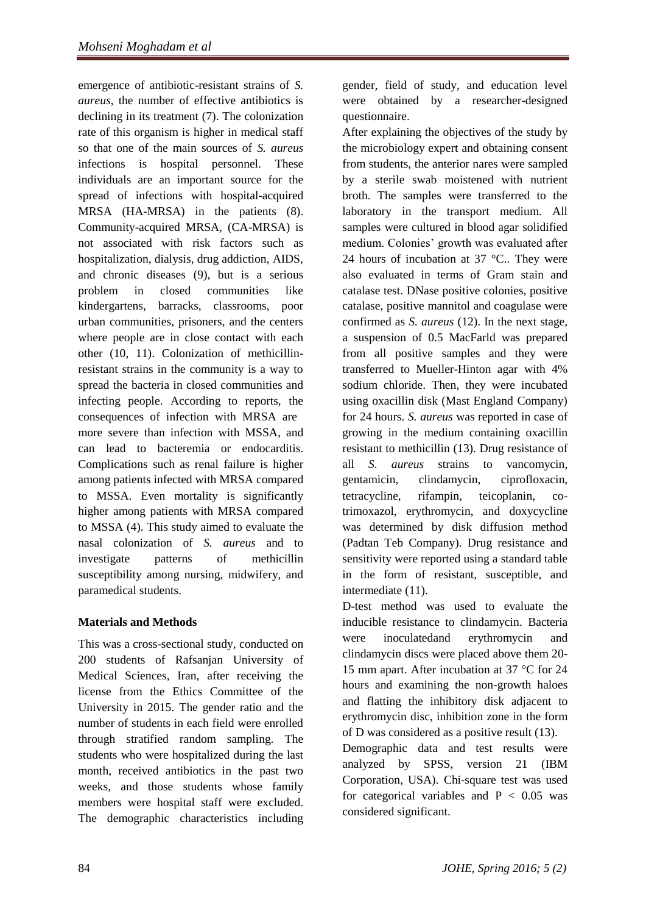emergence of antibiotic-resistant strains of *S. aureus*, the number of effective antibiotics is declining in its treatment (7). The colonization rate of this organism is higher in medical staff so that one of the main sources of *S. aureus* infections is hospital personnel. These individuals are an important source for the spread of infections with hospital-acquired MRSA (HA-MRSA) in the patients (8). Community-acquired MRSA, (CA-MRSA) is not associated with risk factors such as hospitalization, dialysis, drug addiction, AIDS, and chronic diseases (9), but is a serious problem in closed communities like kindergartens, barracks, classrooms, poor urban communities, prisoners, and the centers where people are in close contact with each other (10, 11). Colonization of methicillinresistant strains in the community is a way to spread the bacteria in closed communities and infecting people. According to reports, the consequences of infection with MRSA are more severe than infection with MSSA, and can lead to bacteremia or endocarditis. Complications such as renal failure is higher among patients infected with MRSA compared to MSSA. Even mortality is significantly higher among patients with MRSA compared to MSSA (4). This study aimed to evaluate the nasal colonization of *S. aureus* and to investigate patterns of methicillin susceptibility among nursing, midwifery, and paramedical students.

## **Materials and Methods**

This was a cross-sectional study, conducted on 200 students of Rafsanjan University of Medical Sciences, Iran, after receiving the license from the Ethics Committee of the University in 2015. The gender ratio and the number of students in each field were enrolled through stratified random sampling. The students who were hospitalized during the last month, received antibiotics in the past two weeks, and those students whose family members were hospital staff were excluded. The demographic characteristics including

gender, field of study, and education level were obtained by a researcher-designed questionnaire.

After explaining the objectives of the study by the microbiology expert and obtaining consent from students, the anterior nares were sampled by a sterile swab moistened with nutrient broth. The samples were transferred to the laboratory in the transport medium. All samples were cultured in blood agar solidified medium. Colonies' growth was evaluated after 24 hours of incubation at  $37^{\circ}$ C.. They were also evaluated in terms of Gram stain and catalase test. DNase positive colonies, positive catalase, positive mannitol and coagulase were confirmed as *S. aureus* (12). In the next stage, a suspension of 0.5 MacFarld was prepared from all positive samples and they were transferred to Mueller-Hinton agar with 4% sodium chloride. Then, they were incubated using oxacillin disk (Mast England Company) for 24 hours. *S. aureus* was reported in case of growing in the medium containing oxacillin resistant to methicillin (13). Drug resistance of all *S. aureus* strains to vancomycin, gentamicin, clindamycin, ciprofloxacin, tetracycline, rifampin, teicoplanin, cotrimoxazol, erythromycin, and doxycycline was determined by disk diffusion method (Padtan Teb Company). Drug resistance and sensitivity were reported using a standard table in the form of resistant, susceptible, and intermediate (11).

D-test method was used to evaluate the inducible resistance to clindamycin. Bacteria were inoculatedand erythromycin and clindamycin discs were placed above them 20- 15 mm apart. After incubation at 37 °C for 24 hours and examining the non-growth haloes and flatting the inhibitory disk adjacent to erythromycin disc, inhibition zone in the form of D was considered as a positive result (13).

Demographic data and test results were analyzed by SPSS, version 21 (IBM Corporation, USA). Chi-square test was used for categorical variables and  $P < 0.05$  was considered significant.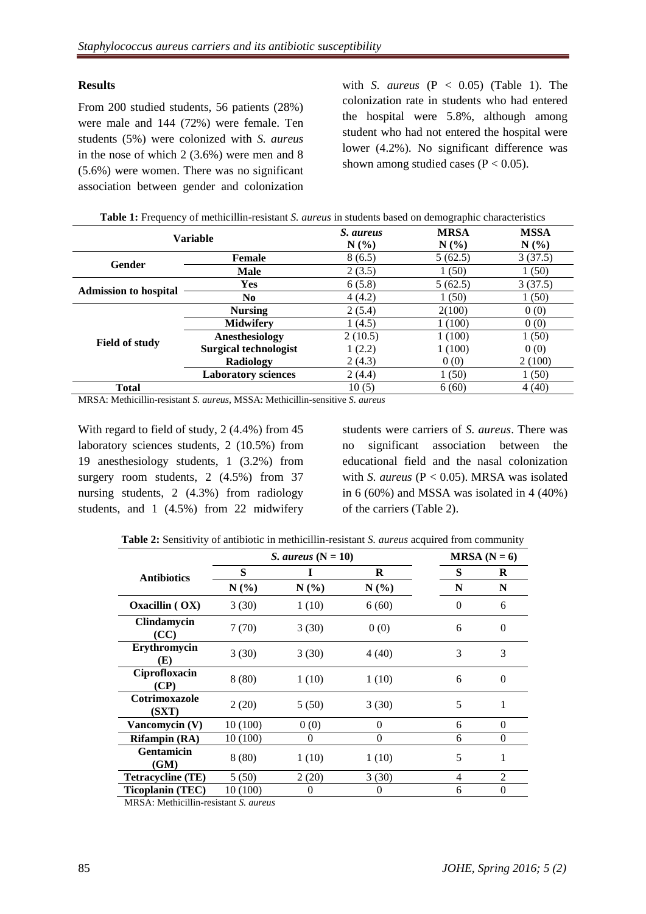#### **Results**

From 200 studied students, 56 patients (28%) were male and 144 (72%) were female. Ten students (5%) were colonized with *S. aureus* in the nose of which 2 (3.6%) were men and 8 (5.6%) were women. There was no significant association between gender and colonization with *S. aureus*  $(P < 0.05)$  (Table 1). The colonization rate in students who had entered the hospital were 5.8%, although among student who had not entered the hospital were lower (4.2%). No significant difference was shown among studied cases ( $P < 0.05$ ).

| <b>Variable</b>              |                              | S. aureus | <b>MRSA</b> | <b>MSSA</b> |  |
|------------------------------|------------------------------|-----------|-------------|-------------|--|
|                              |                              | $N(\%)$   | N(%         | $N(\%)$     |  |
| Gender                       | <b>Female</b>                | 8(6.5)    | 5(62.5)     | 3(37.5)     |  |
|                              | <b>Male</b>                  | 2(3.5)    | 1(50)       | 1(50)       |  |
| <b>Admission to hospital</b> | Yes                          | 6(5.8)    | 5(62.5)     | 3(37.5)     |  |
|                              | No.                          | 4(4.2)    | 1(50)       | 1(50)       |  |
| <b>Field of study</b>        | <b>Nursing</b>               | 2(5.4)    | 2(100)      | 0(0)        |  |
|                              | <b>Midwifery</b>             | 1(4.5)    | 1(100)      | 0(0)        |  |
|                              | Anesthesiology               | 2(10.5)   | 1(100)      | 1(50)       |  |
|                              | <b>Surgical technologist</b> | 1(2.2)    | 1(100)      | 0(0)        |  |
|                              | Radiology                    | 2(4.3)    | 0(0)        | 2 (100)     |  |
|                              | <b>Laboratory sciences</b>   | 2(4.4)    | 1(50)       | 1(50)       |  |
| <b>Total</b>                 |                              | 10(5)     | 6(60)       | 4(40)       |  |

| Table 1: Frequency of methicillin-resistant S. aureus in students based on demographic characteristics |
|--------------------------------------------------------------------------------------------------------|
|--------------------------------------------------------------------------------------------------------|

MRSA: Methicillin-resistant *S. aureus*, MSSA: Methicillin-sensitive *S. aureus*

With regard to field of study, 2 (4.4%) from 45 laboratory sciences students, 2 (10.5%) from 19 anesthesiology students, 1 (3.2%) from surgery room students, 2 (4.5%) from 37 nursing students, 2 (4.3%) from radiology students, and 1 (4.5%) from 22 midwifery students were carriers of *S. aureus*. There was no significant association between the educational field and the nasal colonization with *S. aureus* (P < 0.05). MRSA was isolated in  $6(60\%)$  and MSSA was isolated in  $4(40\%)$ of the carriers (Table 2).

|  |  |  |  | Table 2: Sensitivity of antibiotic in methicillin-resistant S. aureus acquired from community |  |
|--|--|--|--|-----------------------------------------------------------------------------------------------|--|
|--|--|--|--|-----------------------------------------------------------------------------------------------|--|

|                            | <i>S. aureus</i> $(N = 10)$ |          | $MRSA (N = 6)$ |                |          |
|----------------------------|-----------------------------|----------|----------------|----------------|----------|
| <b>Antibiotics</b>         | S                           |          | R              | S              | R        |
|                            | N(%)                        | $N(\%)$  | $N(\%)$        | N              | N        |
| Oxacillin $( OX)$          | 3(30)                       | 1(10)    | 6(60)          | $\Omega$       | 6        |
| <b>Clindamycin</b><br>(CC) | 7(70)                       | 3(30)    | 0(0)           | 6              | $\Omega$ |
| Erythromycin<br>(E)        | 3(30)                       | 3(30)    | 4 (40)         | 3              | 3        |
| Ciprofloxacin<br>(CP)      | 8(80)                       | 1(10)    | 1(10)          | 6              | $\Omega$ |
| Cotrimoxazole<br>(SXT)     | 2(20)                       | 5(50)    | 3(30)          | 5              |          |
| Vancomycin (V)             | 10 (100)                    | 0(0)     | 0              | 6              | 0        |
| <b>Rifampin</b> (RA)       | 10 (100)                    | $\theta$ | 0              | 6              | $\Omega$ |
| <b>Gentamicin</b><br>(GM)  | 8(80)                       | 1(10)    | 1(10)          | 5              |          |
| <b>Tetracycline (TE)</b>   | 5(50)                       | 2(20)    | 3(30)          | $\overline{4}$ | 2        |
| Ticoplanin (TEC)           | 10 (100)                    | 0        | 0              | 6              | $\theta$ |

MRSA: Methicillin-resistant *S. aureus*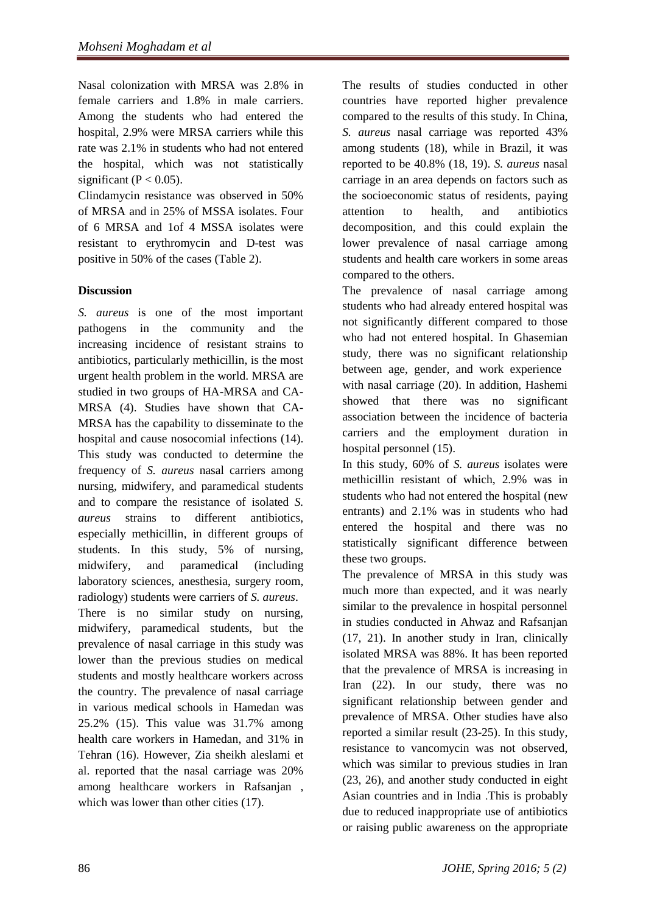Nasal colonization with MRSA was 2.8% in female carriers and 1.8% in male carriers. Among the students who had entered the hospital, 2.9% were MRSA carriers while this rate was 2.1% in students who had not entered the hospital, which was not statistically significant ( $P < 0.05$ ).

Clindamycin resistance was observed in 50% of MRSA and in 25% of MSSA isolates. Four of 6 MRSA and 1of 4 MSSA isolates were resistant to erythromycin and D-test was positive in 50% of the cases (Table 2).

### **Discussion**

*S. aureus* is one of the most important pathogens in the community and the increasing incidence of resistant strains to antibiotics, particularly methicillin, is the most urgent health problem in the world. MRSA are studied in two groups of HA-MRSA and CA-MRSA (4). Studies have shown that CA-MRSA has the capability to disseminate to the hospital and cause nosocomial infections (14). This study was conducted to determine the frequency of *S. aureus* nasal carriers among nursing, midwifery, and paramedical students and to compare the resistance of isolated *S. aureus* strains to different antibiotics, especially methicillin, in different groups of students. In this study, 5% of nursing, midwifery, and paramedical (including laboratory sciences, anesthesia, surgery room, radiology) students were carriers of *S. aureus*. There is no similar study on nursing, midwifery, paramedical students, but the prevalence of nasal carriage in this study was lower than the previous studies on medical students and mostly healthcare workers across the country. The prevalence of nasal carriage in various medical schools in Hamedan was 25.2% (15). This value was 31.7% among health care workers in Hamedan, and 31% in Tehran (16). However, Zia sheikh aleslami et al. reported that the nasal carriage was 20% among healthcare workers in Rafsanjan , which was lower than other cities (17).

The results of studies conducted in other countries have reported higher prevalence compared to the results of this study. In China, *S. aureus* nasal carriage was reported 43% among students (18), while in Brazil, it was reported to be 40.8% (18, 19). *S. aureus* nasal carriage in an area depends on factors such as the socioeconomic status of residents, paying attention to health, and antibiotics decomposition, and this could explain the lower prevalence of nasal carriage among students and health care workers in some areas compared to the others.

The prevalence of nasal carriage among students who had already entered hospital was not significantly different compared to those who had not entered hospital. In Ghasemian study, there was no significant relationship between age, gender, and work experience with nasal carriage (20). In addition, Hashemi showed that there was no significant association between the incidence of bacteria carriers and the employment duration in hospital personnel (15).

In this study, 60% of *S. aureus* isolates were methicillin resistant of which, 2.9% was in students who had not entered the hospital (new entrants) and 2.1% was in students who had entered the hospital and there was no statistically significant difference between these two groups.

The prevalence of MRSA in this study was much more than expected, and it was nearly similar to the prevalence in hospital personnel in studies conducted in Ahwaz and Rafsanjan (17, 21). In another study in Iran, clinically isolated MRSA was 88%. It has been reported that the prevalence of MRSA is increasing in Iran (22). In our study, there was no significant relationship between gender and prevalence of MRSA. Other studies have also reported a similar result (23-25). In this study, resistance to vancomycin was not observed, which was similar to previous studies in Iran (23, 26), and another study conducted in eight Asian countries and in India .This is probably due to reduced inappropriate use of antibiotics or raising public awareness on the appropriate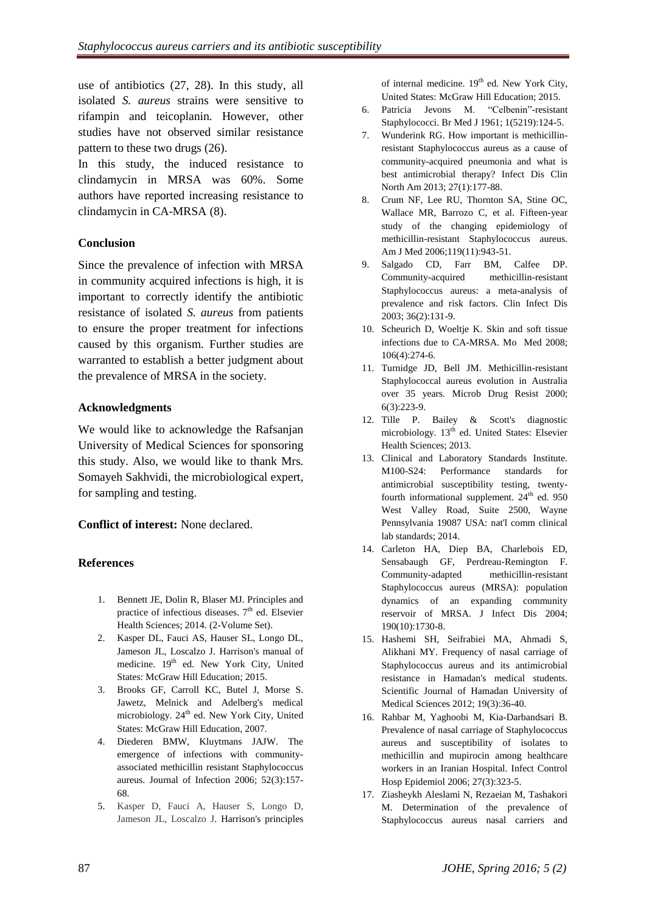use of antibiotics (27, 28). In this study, all isolated *S. aureus* strains were sensitive to rifampin and teicoplanin. However, other studies have not observed similar resistance pattern to these two drugs (26).

In this study, the induced resistance to clindamycin in MRSA was 60%. Some authors have reported increasing resistance to clindamycin in CA-MRSA (8).

#### **Conclusion**

Since the prevalence of infection with MRSA in community acquired infections is high, it is important to correctly identify the antibiotic resistance of isolated *S. aureus* from patients to ensure the proper treatment for infections caused by this organism. Further studies are warranted to establish a better judgment about the prevalence of MRSA in the society.

#### **Acknowledgments**

We would like to acknowledge the Rafsanjan University of Medical Sciences for sponsoring this study. Also, we would like to thank Mrs. Somayeh Sakhvidi, the microbiological expert, for sampling and testing.

**Conflict of interest:** None declared.

### **References**

- 1. Bennett JE, Dolin R, Blaser MJ. Principles and practice of infectious diseases.  $7<sup>th</sup>$  ed. Elsevier Health Sciences; 2014. (2-Volume Set).
- 2. Kasper DL, Fauci AS, Hauser SL, Longo DL, Jameson JL, Loscalzo J. Harrison's manual of medicine.  $19^{th}$  ed. [New York City,](https://en.wikipedia.org/wiki/New_York_City) United States: McGraw Hill Education; 2015.
- 3. Brooks GF, Carroll KC, Butel J, Morse S. Jawetz, Melnick and Adelberg's medical microbiology. 24<sup>th</sup> ed. [New York City,](https://en.wikipedia.org/wiki/New_York_City) United States: McGraw Hill Education, 2007.
- 4. Diederen BMW, Kluytmans JAJW. The emergence of infections with communityassociated methicillin resistant Staphylococcus aureus. Journal of Infection 2006; 52(3):157- 68.
- 5. Kasper D, Fauci A, Hauser S, Longo D, Jameson JL, Loscalzo J. Harrison's principles

of internal medicine. 19<sup>th</sup> ed. [New York City,](https://en.wikipedia.org/wiki/New_York_City) United States: McGraw Hill Education; 2015.

- 6. [Patricia Jevons](https://www.ncbi.nlm.nih.gov/pubmed/?term=Jevons%20MP%5BAuthor%5D) M. "Celbenin"-resistant Staphylococci. Br Med J 1961; 1(5219):124-5.
- 7. Wunderink RG. How important is methicillinresistant Staphylococcus aureus as a cause of community-acquired pneumonia and what is best antimicrobial therapy? Infect Dis Clin North Am 2013; 27(1):177-88.
- 8. Crum NF, Lee RU, Thornton SA, Stine OC, Wallace MR, Barrozo C, et al. Fifteen-year study of the changing epidemiology of methicillin-resistant Staphylococcus aureus. Am J Med 2006;119(11):943-51.
- 9. Salgado CD, Farr BM, Calfee DP. Community-acquired methicillin-resistant Staphylococcus aureus: a meta-analysis of prevalence and risk factors. Clin Infect Dis 2003; 36(2):131-9.
- 10. Scheurich D, Woeltje K. Skin and soft tissue infections due to CA-MRSA. Mo Med 2008; 106(4):274-6.
- 11. Turnidge JD, Bell JM. Methicillin-resistant Staphylococcal aureus evolution in Australia over 35 years. Microb Drug Resist 2000; 6(3):223-9.
- 12. Tille P. Bailey & Scott's diagnostic microbiology. 13<sup>th</sup> ed. United States: Elsevier Health Sciences; 2013.
- 13. Clinical and Laboratory Standards Institute. M100-S24: Performance standards for antimicrobial susceptibility testing, twentyfourth informational supplement.  $24<sup>th</sup>$  ed. 950 West Valley Road, Suite 2500, Wayne Pennsylvania 19087 USA: nat'l comm clinical lab standards; 2014.
- 14. Carleton HA, Diep BA, Charlebois ED, Sensabaugh GF, Perdreau-Remington F. Community-adapted methicillin-resistant Staphylococcus aureus (MRSA): population dynamics of an expanding community reservoir of MRSA. J Infect Dis 2004; 190(10):1730-8.
- 15. Hashemi SH, Seifrabiei MA, Ahmadi S, Alikhani MY. Frequency of nasal carriage of Staphylococcus aureus and its antimicrobial resistance in Hamadan's medical students. Scientific Journal of Hamadan University of Medical Sciences 2012; 19(3):36-40.
- 16. Rahbar M, Yaghoobi M, Kia-Darbandsari B. Prevalence of nasal carriage of Staphylococcus aureus and susceptibility of isolates to methicillin and mupirocin among healthcare workers in an Iranian Hospital. Infect Control Hosp Epidemiol 2006; 27(3):323-5.
- 17. Ziasheykh Aleslami N, Rezaeian M, Tashakori M. Determination of the prevalence of Staphylococcus aureus nasal carriers and